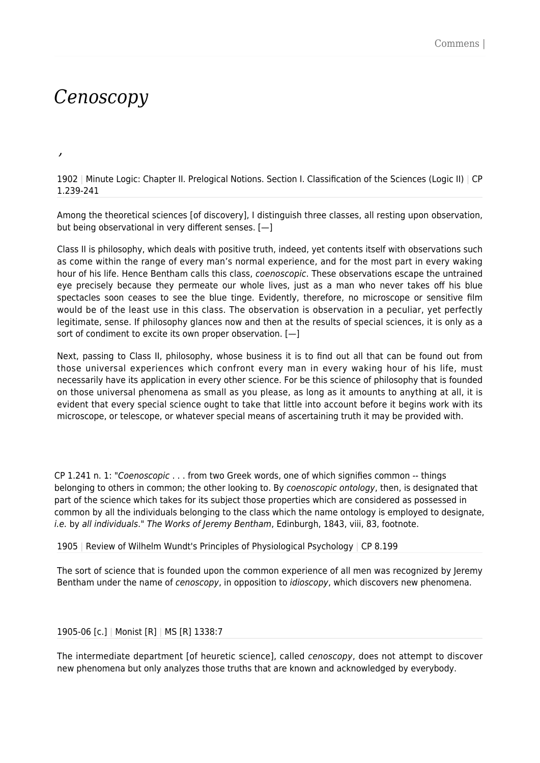## *Cenoscopy*

*,*

1902 | Minute Logic: Chapter II. Prelogical Notions. Section I. Classification of the Sciences (Logic II) | CP 1.239-241

Among the theoretical sciences [of discovery], I distinguish three classes, all resting upon observation, but being observational in very different senses. [—]

Class II is philosophy, which deals with positive truth, indeed, yet contents itself with observations such as come within the range of every man's normal experience, and for the most part in every waking hour of his life. Hence Bentham calls this class, *coenoscopic*. These observations escape the untrained eye precisely because they permeate our whole lives, just as a man who never takes off his blue spectacles soon ceases to see the blue tinge. Evidently, therefore, no microscope or sensitive film would be of the least use in this class. The observation is observation in a peculiar, yet perfectly legitimate, sense. If philosophy glances now and then at the results of special sciences, it is only as a sort of condiment to excite its own proper observation.  $[-]$ 

Next, passing to Class II, philosophy, whose business it is to find out all that can be found out from those universal experiences which confront every man in every waking hour of his life, must necessarily have its application in every other science. For be this science of philosophy that is founded on those universal phenomena as small as you please, as long as it amounts to anything at all, it is evident that every special science ought to take that little into account before it begins work with its microscope, or telescope, or whatever special means of ascertaining truth it may be provided with.

CP 1.241 n. 1: "Coenoscopic . . . from two Greek words, one of which signifies common -- things belonging to others in common; the other looking to. By coenoscopic ontology, then, is designated that part of the science which takes for its subject those properties which are considered as possessed in common by all the individuals belonging to the class which the name ontology is employed to designate, i.e. by all individuals." The Works of Jeremy Bentham, Edinburgh, 1843, viii, 83, footnote.

1905 | Review of Wilhelm Wundt's Principles of Physiological Psychology | CP 8.199

The sort of science that is founded upon the common experience of all men was recognized by Jeremy Bentham under the name of cenoscopy, in opposition to *idioscopy*, which discovers new phenomena.

## 1905-06 [c.] | Monist [R] | MS [R] 1338:7

The intermediate department [of heuretic science], called cenoscopy, does not attempt to discover new phenomena but only analyzes those truths that are known and acknowledged by everybody.